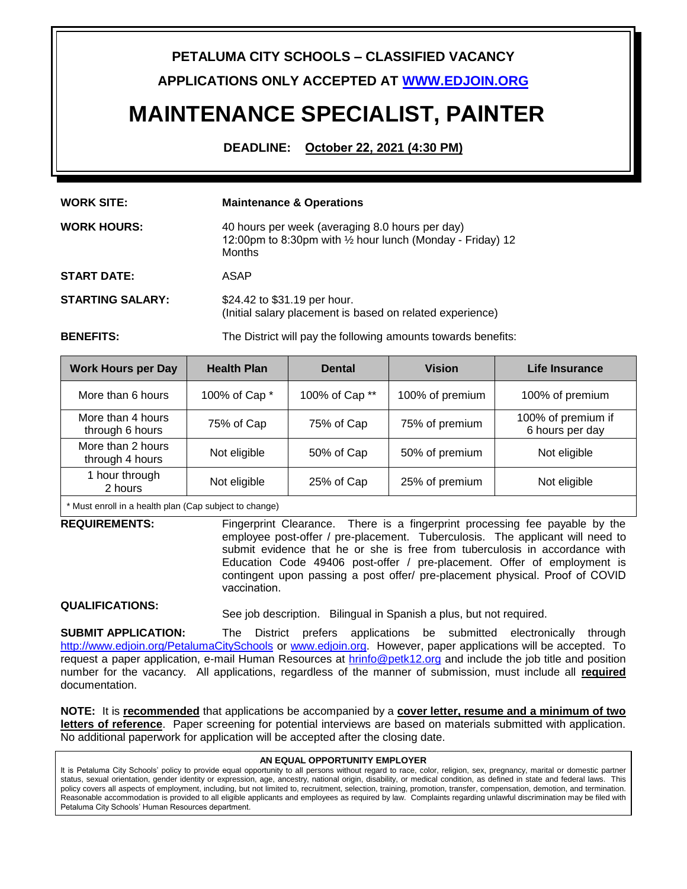# **PETALUMA CITY SCHOOLS – CLASSIFIED VACANCY**

**APPLICATIONS ONLY ACCEPTED A[T WWW.EDJOIN.ORG](http://www.edjoin.org/)**

# **MAINTENANCE SPECIALIST, PAINTER**

**DEADLINE: October 22, 2021 (4:30 PM)**

| <b>WORK SITE:</b>       | <b>Maintenance &amp; Operations</b>                                                                                                      |  |
|-------------------------|------------------------------------------------------------------------------------------------------------------------------------------|--|
| <b>WORK HOURS:</b>      | 40 hours per week (averaging 8.0 hours per day)<br>12:00pm to 8:30pm with $\frac{1}{2}$ hour lunch (Monday - Friday) 12<br><b>Months</b> |  |
| <b>START DATE:</b>      | ASAP                                                                                                                                     |  |
| <b>STARTING SALARY:</b> | \$24.42 to \$31.19 per hour.<br>(Initial salary placement is based on related experience)                                                |  |
| <b>BENEFITS:</b>        | The District will pay the following amounts towards benefits:                                                                            |  |

| <b>Work Hours per Day</b>            | <b>Health Plan</b> | <b>Dental</b>  | <b>Vision</b>   | Life Insurance                        |
|--------------------------------------|--------------------|----------------|-----------------|---------------------------------------|
| More than 6 hours                    | 100% of Cap *      | 100% of Cap ** | 100% of premium | 100% of premium                       |
| More than 4 hours<br>through 6 hours | 75% of Cap         | 75% of Cap     | 75% of premium  | 100% of premium if<br>6 hours per day |
| More than 2 hours<br>through 4 hours | Not eligible       | 50% of Cap     | 50% of premium  | Not eligible                          |
| 1 hour through<br>2 hours            | Not eligible       | 25% of Cap     | 25% of premium  | Not eligible                          |

\* Must enroll in a health plan (Cap subject to change)

**REQUIREMENTS:** Fingerprint Clearance. There is a fingerprint processing fee payable by the employee post-offer / pre-placement. Tuberculosis. The applicant will need to submit evidence that he or she is free from tuberculosis in accordance with Education Code 49406 post-offer / pre-placement. Offer of employment is contingent upon passing a post offer/ pre-placement physical. Proof of COVID vaccination.

# **QUALIFICATIONS:**

See job description. Bilingual in Spanish a plus, but not required.

**SUBMIT APPLICATION:** The District prefers applications be submitted electronically through <http://www.edjoin.org/PetalumaCitySchools>or [www.edjoin.org.](http://www.edjoin.org/) However, paper applications will be accepted. To request a paper application, e-mail Human Resources at [hrinfo@petk12.org](mailto:hrinfo@petk12.org) and include the job title and position number for the vacancy. All applications, regardless of the manner of submission, must include all **required** documentation.

**NOTE:** It is **recommended** that applications be accompanied by a **cover letter, resume and a minimum of two letters of reference**. Paper screening for potential interviews are based on materials submitted with application. No additional paperwork for application will be accepted after the closing date.

#### **AN EQUAL OPPORTUNITY EMPLOYER**

It is Petaluma City Schools' policy to provide equal opportunity to all persons without regard to race, color, religion, sex, pregnancy, marital or domestic partner status, sexual orientation, gender identity or expression, age, ancestry, national origin, disability, or medical condition, as defined in state and federal laws. This policy covers all aspects of employment, including, but not limited to, recruitment, selection, training, promotion, transfer, compensation, demotion, and termination. Reasonable accommodation is provided to all eligible applicants and employees as required by law. Complaints regarding unlawful discrimination may be filed with Petaluma City Schools' Human Resources department.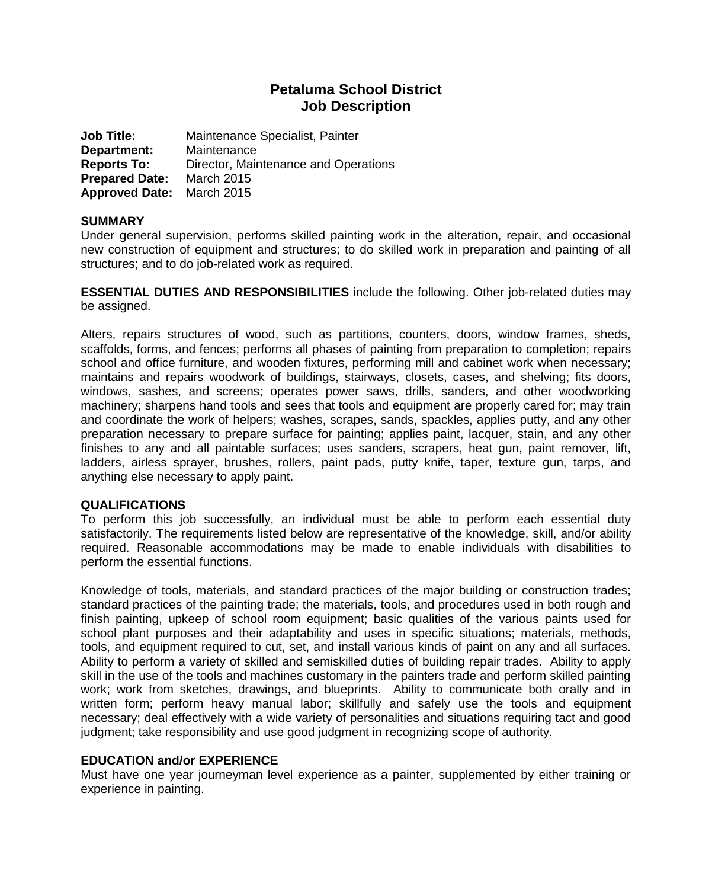# **Petaluma School District Job Description**

**Job Title:** Maintenance Specialist, Painter **Department:** Maintenance **Reports To:** Director, Maintenance and Operations **Prepared Date:** March 2015 **Approved Date:** March 2015

# **SUMMARY**

Under general supervision, performs skilled painting work in the alteration, repair, and occasional new construction of equipment and structures; to do skilled work in preparation and painting of all structures; and to do job-related work as required.

**ESSENTIAL DUTIES AND RESPONSIBILITIES** include the following. Other job-related duties may be assigned.

Alters, repairs structures of wood, such as partitions, counters, doors, window frames, sheds, scaffolds, forms, and fences; performs all phases of painting from preparation to completion; repairs school and office furniture, and wooden fixtures, performing mill and cabinet work when necessary; maintains and repairs woodwork of buildings, stairways, closets, cases, and shelving; fits doors, windows, sashes, and screens; operates power saws, drills, sanders, and other woodworking machinery; sharpens hand tools and sees that tools and equipment are properly cared for; may train and coordinate the work of helpers; washes, scrapes, sands, spackles, applies putty, and any other preparation necessary to prepare surface for painting; applies paint, lacquer, stain, and any other finishes to any and all paintable surfaces; uses sanders, scrapers, heat gun, paint remover, lift, ladders, airless sprayer, brushes, rollers, paint pads, putty knife, taper, texture gun, tarps, and anything else necessary to apply paint.

#### **QUALIFICATIONS**

To perform this job successfully, an individual must be able to perform each essential duty satisfactorily. The requirements listed below are representative of the knowledge, skill, and/or ability required. Reasonable accommodations may be made to enable individuals with disabilities to perform the essential functions.

Knowledge of tools, materials, and standard practices of the major building or construction trades; standard practices of the painting trade; the materials, tools, and procedures used in both rough and finish painting, upkeep of school room equipment; basic qualities of the various paints used for school plant purposes and their adaptability and uses in specific situations; materials, methods, tools, and equipment required to cut, set, and install various kinds of paint on any and all surfaces. Ability to perform a variety of skilled and semiskilled duties of building repair trades. Ability to apply skill in the use of the tools and machines customary in the painters trade and perform skilled painting work; work from sketches, drawings, and blueprints. Ability to communicate both orally and in written form; perform heavy manual labor; skillfully and safely use the tools and equipment necessary; deal effectively with a wide variety of personalities and situations requiring tact and good judgment; take responsibility and use good judgment in recognizing scope of authority.

#### **EDUCATION and/or EXPERIENCE**

Must have one year journeyman level experience as a painter, supplemented by either training or experience in painting.